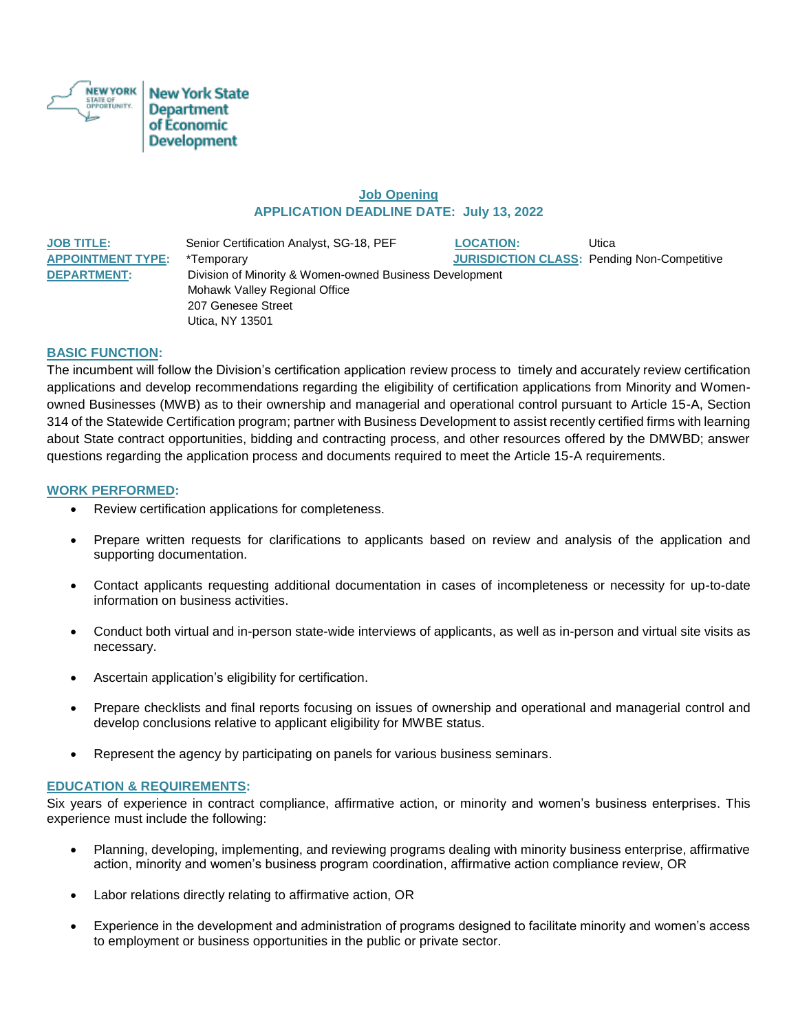

# **Job Opening APPLICATION DEADLINE DATE: July 13, 2022**

**JOB TITLE:** Senior Certification Analyst, SG-18, PEF **LOCATION:** Utica **APPOINTMENT TYPE:** \*Temporary **JURISDICTION CLASS:** Pending Non-Competitive **DEPARTMENT:** Division of Minority & Women-owned Business Development Mohawk Valley Regional Office 207 Genesee Street Utica, NY 13501

### **BASIC FUNCTION:**

The incumbent will follow the Division's certification application review process to timely and accurately review certification applications and develop recommendations regarding the eligibility of certification applications from Minority and Womenowned Businesses (MWB) as to their ownership and managerial and operational control pursuant to Article 15-A, Section 314 of the Statewide Certification program; partner with Business Development to assist recently certified firms with learning about State contract opportunities, bidding and contracting process, and other resources offered by the DMWBD; answer questions regarding the application process and documents required to meet the Article 15-A requirements.

### **WORK PERFORMED:**

- Review certification applications for completeness.
- Prepare written requests for clarifications to applicants based on review and analysis of the application and supporting documentation.
- Contact applicants requesting additional documentation in cases of incompleteness or necessity for up-to-date information on business activities.
- Conduct both virtual and in-person state-wide interviews of applicants, as well as in-person and virtual site visits as necessary.
- Ascertain application's eligibility for certification.
- Prepare checklists and final reports focusing on issues of ownership and operational and managerial control and develop conclusions relative to applicant eligibility for MWBE status.
- Represent the agency by participating on panels for various business seminars.

#### **EDUCATION & REQUIREMENTS:**

Six years of experience in contract compliance, affirmative action, or minority and women's business enterprises. This experience must include the following:

- Planning, developing, implementing, and reviewing programs dealing with minority business enterprise, affirmative action, minority and women's business program coordination, affirmative action compliance review, OR
- Labor relations directly relating to affirmative action, OR
- Experience in the development and administration of programs designed to facilitate minority and women's access to employment or business opportunities in the public or private sector.